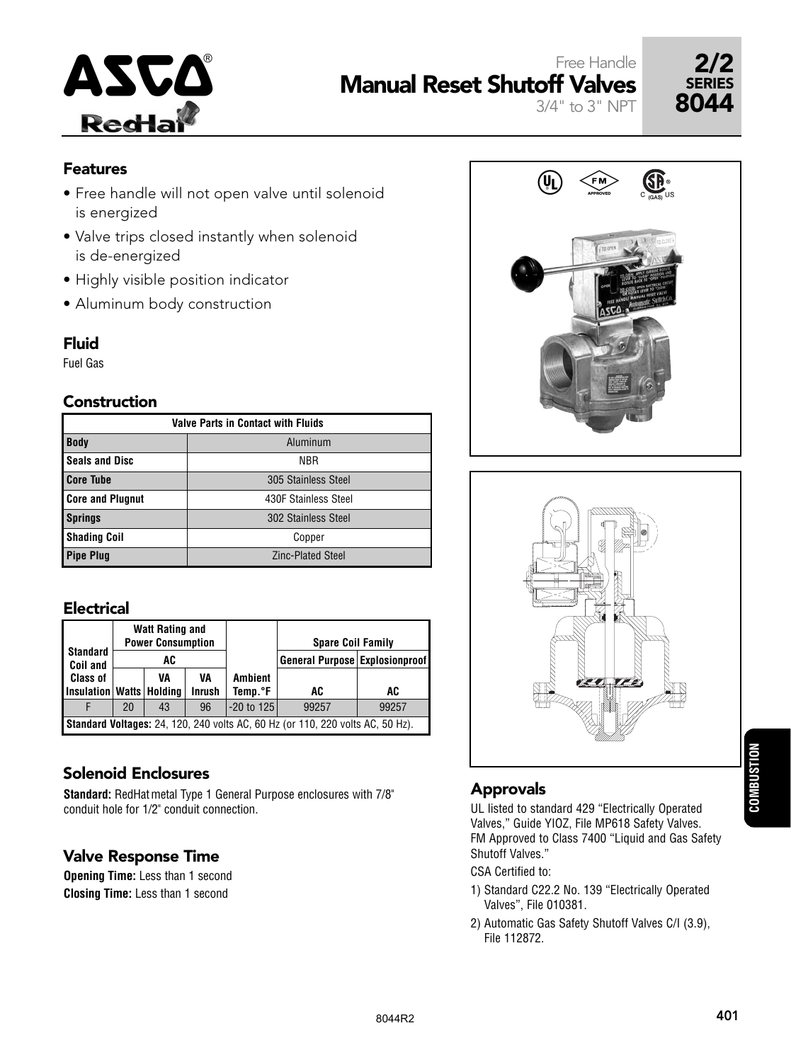



## **Features**

- Free handle will not open valve until solenoid is energized
- Valve trips closed instantly when solenoid is de-energized
- Highly visible position indicator
- Aluminum body construction

## Fluid

Fuel Gas

## Construction

| <b>Valve Parts in Contact with Fluids</b> |                          |  |  |  |  |  |  |  |
|-------------------------------------------|--------------------------|--|--|--|--|--|--|--|
| <b>Body</b><br>Aluminum                   |                          |  |  |  |  |  |  |  |
| <b>Seals and Disc</b>                     | <b>NBR</b>               |  |  |  |  |  |  |  |
| <b>Core Tube</b>                          | 305 Stainless Steel      |  |  |  |  |  |  |  |
| <b>Core and Plugnut</b>                   | 430F Stainless Steel     |  |  |  |  |  |  |  |
| <b>Springs</b>                            | 302 Stainless Steel      |  |  |  |  |  |  |  |
| <b>Shading Coil</b>                       | Copper                   |  |  |  |  |  |  |  |
| <b>Pipe Plug</b>                          | <b>Zinc-Plated Steel</b> |  |  |  |  |  |  |  |

## Electrical

| <b>Standard</b><br>Coil and                                                           |    | <b>Watt Rating and</b><br><b>Power Consumption</b><br>AC |                     |                           | <b>Spare Coil Family</b><br>General Purpose Explosionproof |       |  |  |
|---------------------------------------------------------------------------------------|----|----------------------------------------------------------|---------------------|---------------------------|------------------------------------------------------------|-------|--|--|
| <b>Class of</b><br>Insulation   Watts   Holding                                       |    | VA                                                       | VA<br><b>Inrush</b> | <b>Ambient</b><br>Temp.°F | AC                                                         | AC    |  |  |
|                                                                                       | 20 | 43                                                       | 96                  | $-20$ to 125              | 99257                                                      | 99257 |  |  |
| <b>Standard Voltages:</b> 24, 120, 240 volts AC, 60 Hz (or 110, 220 volts AC, 50 Hz). |    |                                                          |                     |                           |                                                            |       |  |  |

## Solenoid Enclosures

**Standard:** RedHatmetal Type 1 General Purpose enclosures with 7/8" conduit hole for 1/2" conduit connection.

## Valve Response Time

**Opening Time:** Less than 1 second **Closing Time:** Less than 1 second



3/4" to 3" NPT



# Approvals

UL listed to standard 429 "Electrically Operated Valves," Guide YIOZ, File MP618 Safety Valves. FM Approved to Class 7400 "Liquid and Gas Safety Shutoff Valves."

CSA Certified to:

- 1) Standard C22.2 No. 139 "Electrically Operated Valves", File 010381.
- 2) Automatic Gas Safety Shutoff Valves C/I (3.9), File 112872.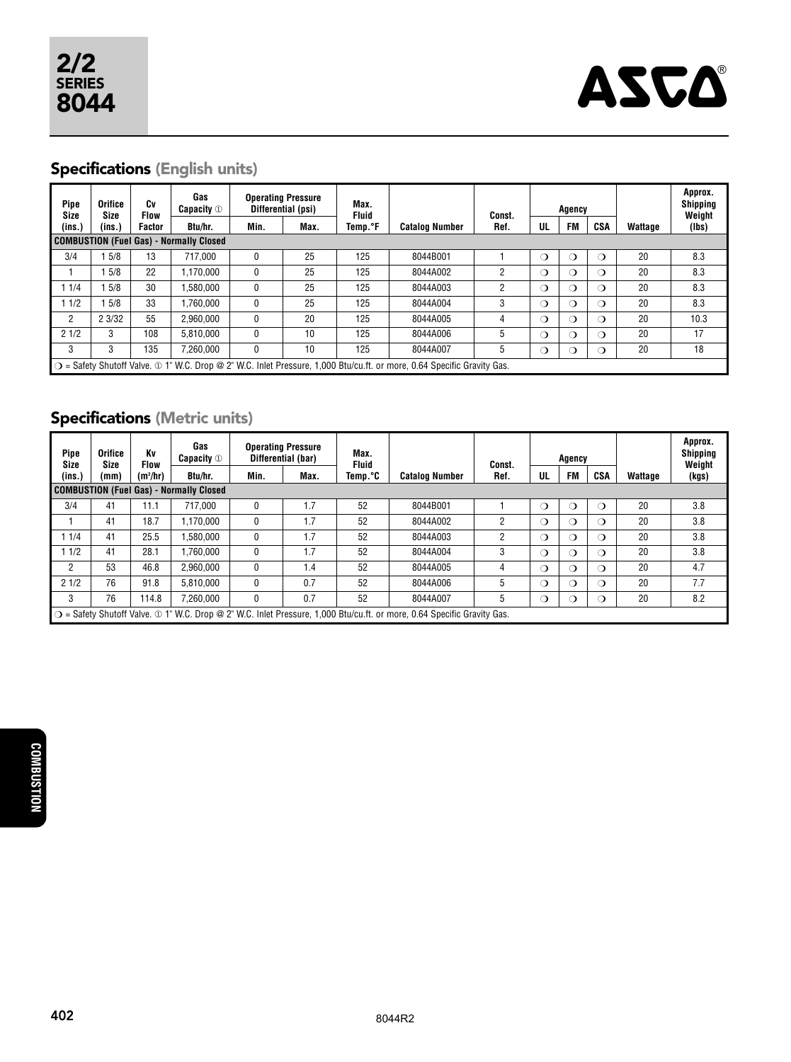

# Specifications (English units)

| Pipe<br>Size   | <b>Orifice</b><br>Size                                                                                                  | Cv<br><b>Flow</b> | Gas<br><b>Capacity</b> <sup>1</sup> | <b>Operating Pressure</b><br>Differential (psi) |      | Max.<br><b>Fluid</b> |                       | Const. |          | Agency    |            |         | Approx.<br><b>Shipping</b><br>Weight |
|----------------|-------------------------------------------------------------------------------------------------------------------------|-------------------|-------------------------------------|-------------------------------------------------|------|----------------------|-----------------------|--------|----------|-----------|------------|---------|--------------------------------------|
| (ins.)         | (ins.)                                                                                                                  | Factor            | Btu/hr.                             | Min.                                            | Max. | Temp. <sup>o</sup> F | <b>Catalog Number</b> | Ref.   | UL       | <b>FM</b> | CSA        | Wattage | (lbs)                                |
|                | <b>COMBUSTION (Fuel Gas) - Normally Closed</b>                                                                          |                   |                                     |                                                 |      |                      |                       |        |          |           |            |         |                                      |
| 3/4            | 5/8                                                                                                                     | 13                | 717.000                             | 0                                               | 25   | 125                  | 8044B001              |        | $\Omega$ | റ         | ∩          | 20      | 8.3                                  |
|                | 5/8                                                                                                                     | 22                | .170.000                            | $\mathbf{0}$                                    | 25   | 125                  | 8044A002              | 2      | $\Omega$ | റ         | $\bigcirc$ | 20      | 8.3                                  |
| 11/4           | 5/8                                                                                                                     | 30                | .580.000                            | 0                                               | 25   | 125                  | 8044A003              | 2      | $\Omega$ | ∩         | $\bigcirc$ | 20      | 8.3                                  |
| 11/2           | 5/8                                                                                                                     | 33                | .760.000                            | $\mathbf{0}$                                    | 25   | 125                  | 8044A004              | 3      | $\Omega$ | ◯         | $\bigcirc$ | 20      | 8.3                                  |
| $\overline{2}$ | 2 3/32                                                                                                                  | 55                | 2.960.000                           | $\mathbf{0}$                                    | 20   | 125                  | 8044A005              | 4      | $\Omega$ | ◯         | ∩          | 20      | 10.3                                 |
| 21/2           | 3                                                                                                                       | 108               | 5.810.000                           | $\mathbf{0}$                                    | 10   | 125                  | 8044A006              | 5      | $\Omega$ | ∩         | $\bigcirc$ | 20      | 17                                   |
| 3              | 3                                                                                                                       | 135               | 7.260.000                           | 0                                               | 10   | 125                  | 8044A007              | 5      | $\circ$  | ◯         | ◯          | 20      | 18                                   |
|                | ○ = Safety Shutoff Valve. ① 1" W.C. Drop @ 2" W.C. Inlet Pressure, 1,000 Btu/cu.ft. or more, 0.64 Specific Gravity Gas. |                   |                                     |                                                 |      |                      |                       |        |          |           |            |         |                                      |

# Specifications (Metric units)

| Pipe<br>Size                            | <b>Orifice</b><br>Size                                                                                                  | Κv<br>Flow | Gas<br><b>Capacity</b> <sup>1</sup> | <b>Operating Pressure</b><br>Differential (bar) |      | Max.<br><b>Fluid</b> |                       | Const. | Agency   |           |            |         | Approx.<br>Shipping<br>Weight |
|-----------------------------------------|-------------------------------------------------------------------------------------------------------------------------|------------|-------------------------------------|-------------------------------------------------|------|----------------------|-----------------------|--------|----------|-----------|------------|---------|-------------------------------|
| (ins.)                                  | (mm)                                                                                                                    | $(m^3/hr)$ | Btu/hr.                             | Min.                                            | Max. | Temp.°C              | <b>Catalog Number</b> | Ref.   | UL       | <b>FM</b> | CSA        | Wattage | (kgs)                         |
| COMBUSTION (Fuel Gas) - Normally Closed |                                                                                                                         |            |                                     |                                                 |      |                      |                       |        |          |           |            |         |                               |
| 3/4                                     | 41                                                                                                                      | 11.1       | 717.000                             | 0                                               | 1.7  | 52                   | 8044B001              |        | ◯        | ∩         |            | 20      | 3.8                           |
|                                         | 41                                                                                                                      | 18.7       | 1.170.000                           | 0                                               | 1.7  | 52                   | 8044A002              | 2      | ◯        | ◯         | $\bigcirc$ | 20      | 3.8                           |
| 1/4                                     | 41                                                                                                                      | 25.5       | 1.580.000                           | 0                                               | 1.7  | 52                   | 8044A003              | 2      | ◯        | ◯         | $\bigcirc$ | 20      | 3.8                           |
| 1/2                                     | 41                                                                                                                      | 28.1       | 1.760.000                           | 0                                               | 1.7  | 52                   | 8044A004              | 3      | ◯        | ◯         | $\Omega$   | 20      | 3.8                           |
| $\overline{2}$                          | 53                                                                                                                      | 46.8       | 2.960.000                           | $\mathbf{0}$                                    | 1.4  | 52                   | 8044A005              | 4      | $\Omega$ | ◯         | $\bigcirc$ | 20      | 4.7                           |
| 21/2                                    | 76                                                                                                                      | 91.8       | 5.810.000                           | 0                                               | 0.7  | 52                   | 8044A006              | 5      | $\Omega$ | ∩         | $\bigcirc$ | 20      | 7.7                           |
| 3                                       | 76                                                                                                                      | 114.8      | 7.260.000                           | 0                                               | 0.7  | 52                   | 8044A007              | 5      | ◯        | ◯         |            | 20      | 8.2                           |
|                                         | ○ = Safety Shutoff Valve. ① 1" W.C. Drop @ 2" W.C. Inlet Pressure, 1,000 Btu/cu.ft. or more, 0.64 Specific Gravity Gas. |            |                                     |                                                 |      |                      |                       |        |          |           |            |         |                               |